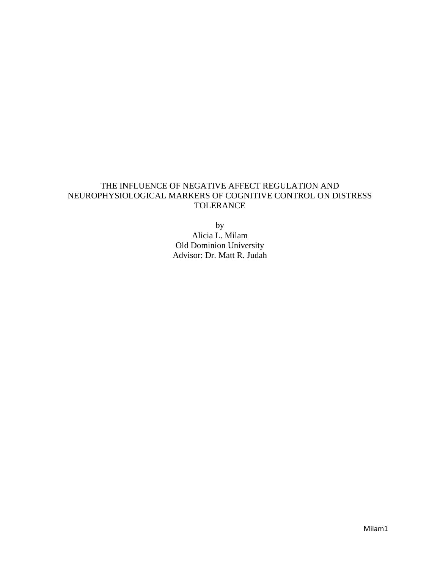# THE INFLUENCE OF NEGATIVE AFFECT REGULATION AND NEUROPHYSIOLOGICAL MARKERS OF COGNITIVE CONTROL ON DISTRESS TOLERANCE

by Alicia L. Milam Old Dominion University Advisor: Dr. Matt R. Judah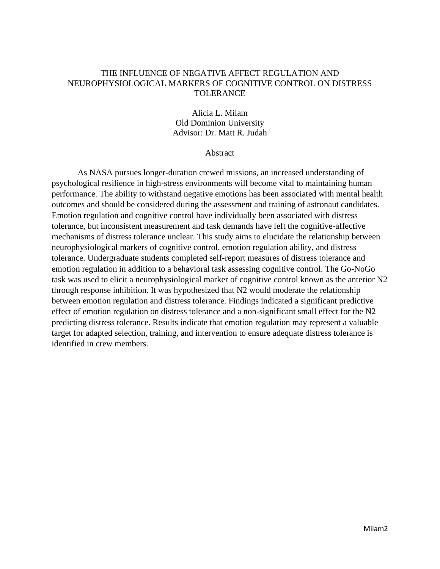#### THE INFLUENCE OF NEGATIVE AFFECT REGULATION AND NEUROPHYSIOLOGICAL MARKERS OF COGNITIVE CONTROL ON DISTRESS TOLERANCE

Alicia L. Milam Old Dominion University Advisor: Dr. Matt R. Judah

### **Abstract**

As NASA pursues longer-duration crewed missions, an increased understanding of psychological resilience in high-stress environments will become vital to maintaining human performance. The ability to withstand negative emotions has been associated with mental health outcomes and should be considered during the assessment and training of astronaut candidates. Emotion regulation and cognitive control have individually been associated with distress tolerance, but inconsistent measurement and task demands have left the cognitive-affective mechanisms of distress tolerance unclear. This study aims to elucidate the relationship between neurophysiological markers of cognitive control, emotion regulation ability, and distress tolerance. Undergraduate students completed self-report measures of distress tolerance and emotion regulation in addition to a behavioral task assessing cognitive control. The Go-NoGo task was used to elicit a neurophysiological marker of cognitive control known as the anterior N2 through response inhibition. It was hypothesized that N2 would moderate the relationship between emotion regulation and distress tolerance. Findings indicated a significant predictive effect of emotion regulation on distress tolerance and a non-significant small effect for the N2 predicting distress tolerance. Results indicate that emotion regulation may represent a valuable target for adapted selection, training, and intervention to ensure adequate distress tolerance is identified in crew members.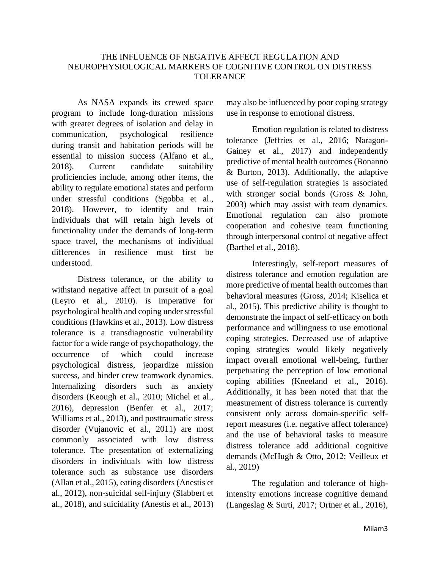## THE INFLUENCE OF NEGATIVE AFFECT REGULATION AND NEUROPHYSIOLOGICAL MARKERS OF COGNITIVE CONTROL ON DISTRESS TOLERANCE

As NASA expands its crewed space program to include long-duration missions with greater degrees of isolation and delay in communication, psychological resilience during transit and habitation periods will be essential to mission success (Alfano et al., 2018). Current candidate suitability proficiencies include, among other items, the ability to regulate emotional states and perform under stressful conditions (Sgobba et al., 2018). However, to identify and train individuals that will retain high levels of functionality under the demands of long-term space travel, the mechanisms of individual differences in resilience must first be understood.

Distress tolerance, or the ability to withstand negative affect in pursuit of a goal (Leyro et al., 2010). is imperative for psychological health and coping under stressful conditions (Hawkins et al., 2013). Low distress tolerance is a transdiagnostic vulnerability factor for a wide range of psychopathology, the occurrence of which could increase psychological distress, jeopardize mission success, and hinder crew teamwork dynamics. Internalizing disorders such as anxiety disorders (Keough et al., 2010; Michel et al., 2016), depression (Benfer et al., 2017; Williams et al., 2013), and posttraumatic stress disorder (Vujanovic et al., 2011) are most commonly associated with low distress tolerance. The presentation of externalizing disorders in individuals with low distress tolerance such as substance use disorders (Allan et al., 2015), eating disorders (Anestis et al., 2012), non-suicidal self-injury (Slabbert et al., 2018), and suicidality (Anestis et al., 2013) may also be influenced by poor coping strategy use in response to emotional distress.

Emotion regulation is related to distress tolerance (Jeffries et al., 2016; Naragon-Gainey et al., 2017) and independently predictive of mental health outcomes (Bonanno & Burton, 2013). Additionally, the adaptive use of self-regulation strategies is associated with stronger social bonds (Gross & John, 2003) which may assist with team dynamics. Emotional regulation can also promote cooperation and cohesive team functioning through interpersonal control of negative affect (Barthel et al., 2018).

Interestingly, self-report measures of distress tolerance and emotion regulation are more predictive of mental health outcomes than behavioral measures (Gross, 2014; Kiselica et al., 2015). This predictive ability is thought to demonstrate the impact of self-efficacy on both performance and willingness to use emotional coping strategies. Decreased use of adaptive coping strategies would likely negatively impact overall emotional well-being, further perpetuating the perception of low emotional coping abilities (Kneeland et al., 2016). Additionally, it has been noted that that the measurement of distress tolerance is currently consistent only across domain-specific selfreport measures (i.e. negative affect tolerance) and the use of behavioral tasks to measure distress tolerance add additional cognitive demands (McHugh & Otto, 2012; Veilleux et al., 2019)

The regulation and tolerance of highintensity emotions increase cognitive demand (Langeslag & Surti, 2017; Ortner et al., 2016),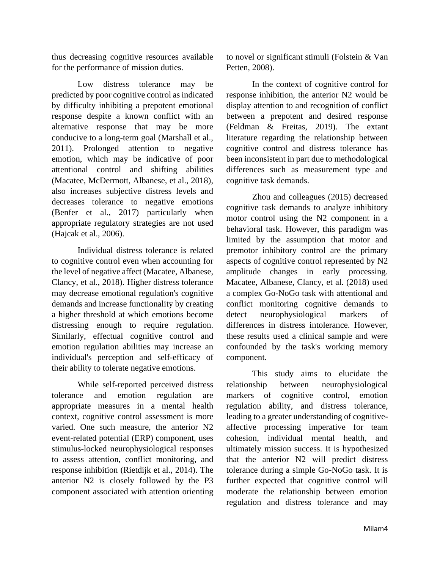thus decreasing cognitive resources available for the performance of mission duties.

Low distress tolerance may be predicted by poor cognitive control as indicated by difficulty inhibiting a prepotent emotional response despite a known conflict with an alternative response that may be more conducive to a long-term goal (Marshall et al., 2011). Prolonged attention to negative emotion, which may be indicative of poor attentional control and shifting abilities (Macatee, McDermott, Albanese, et al., 2018), also increases subjective distress levels and decreases tolerance to negative emotions (Benfer et al., 2017) particularly when appropriate regulatory strategies are not used (Hajcak et al., 2006).

Individual distress tolerance is related to cognitive control even when accounting for the level of negative affect (Macatee, Albanese, Clancy, et al., 2018). Higher distress tolerance may decrease emotional regulation's cognitive demands and increase functionality by creating a higher threshold at which emotions become distressing enough to require regulation. Similarly, effectual cognitive control and emotion regulation abilities may increase an individual's perception and self-efficacy of their ability to tolerate negative emotions.

While self-reported perceived distress tolerance and emotion regulation are appropriate measures in a mental health context, cognitive control assessment is more varied. One such measure, the anterior N2 event-related potential (ERP) component, uses stimulus-locked neurophysiological responses to assess attention, conflict monitoring, and response inhibition (Rietdijk et al., 2014). The anterior N2 is closely followed by the P3 component associated with attention orienting to novel or significant stimuli (Folstein & Van Petten, 2008).

In the context of cognitive control for response inhibition, the anterior N2 would be display attention to and recognition of conflict between a prepotent and desired response (Feldman & Freitas, 2019). The extant literature regarding the relationship between cognitive control and distress tolerance has been inconsistent in part due to methodological differences such as measurement type and cognitive task demands.

Zhou and colleagues (2015) decreased cognitive task demands to analyze inhibitory motor control using the N2 component in a behavioral task. However, this paradigm was limited by the assumption that motor and premotor inhibitory control are the primary aspects of cognitive control represented by N2 amplitude changes in early processing. Macatee, Albanese, Clancy, et al. (2018) used a complex Go-NoGo task with attentional and conflict monitoring cognitive demands to detect neurophysiological markers of differences in distress intolerance. However, these results used a clinical sample and were confounded by the task's working memory component.

This study aims to elucidate the relationship between neurophysiological markers of cognitive control, emotion regulation ability, and distress tolerance, leading to a greater understanding of cognitiveaffective processing imperative for team cohesion, individual mental health, and ultimately mission success. It is hypothesized that the anterior N2 will predict distress tolerance during a simple Go-NoGo task. It is further expected that cognitive control will moderate the relationship between emotion regulation and distress tolerance and may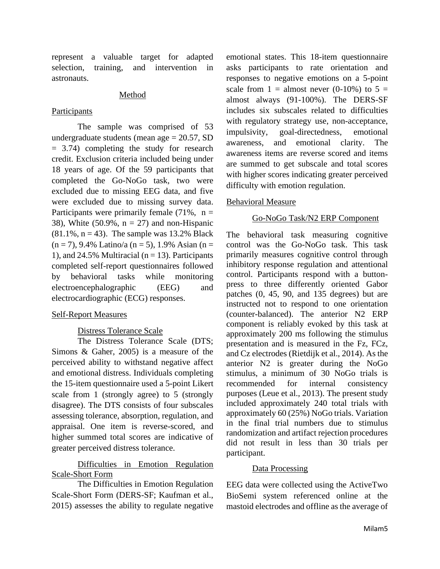represent a valuable target for adapted selection, training, and intervention in astronauts.

#### Method

### Participants

The sample was comprised of 53 undergraduate students (mean age  $= 20.57$ , SD = 3.74) completing the study for research credit. Exclusion criteria included being under 18 years of age. Of the 59 participants that completed the Go-NoGo task, two were excluded due to missing EEG data, and five were excluded due to missing survey data. Participants were primarily female  $(71\%$ , n = 38), White (50.9%,  $n = 27$ ) and non-Hispanic  $(81.1\% \, \text{n} = 43)$ . The sample was 13.2% Black  $(n = 7)$ , 9.4% Latino/a  $(n = 5)$ , 1.9% Asian  $(n = 1)$ 1), and 24.5% Multiracial ( $n = 13$ ). Participants completed self-report questionnaires followed by behavioral tasks while monitoring electroencephalographic (EEG) and electrocardiographic (ECG) responses.

#### Self-Report Measures

## Distress Tolerance Scale

The Distress Tolerance Scale (DTS; Simons & Gaher, 2005) is a measure of the perceived ability to withstand negative affect and emotional distress. Individuals completing the 15-item questionnaire used a 5-point Likert scale from 1 (strongly agree) to 5 (strongly disagree). The DTS consists of four subscales assessing tolerance, absorption, regulation, and appraisal. One item is reverse-scored, and higher summed total scores are indicative of greater perceived distress tolerance.

# Difficulties in Emotion Regulation Scale-Short Form

The Difficulties in Emotion Regulation Scale-Short Form (DERS-SF; Kaufman et al., 2015) assesses the ability to regulate negative

emotional states. This 18-item questionnaire asks participants to rate orientation and responses to negative emotions on a 5-point scale from  $1 =$  almost never (0-10%) to  $5 =$ almost always (91-100%). The DERS-SF includes six subscales related to difficulties with regulatory strategy use, non-acceptance, impulsivity, goal-directedness, emotional awareness, and emotional clarity. The awareness items are reverse scored and items are summed to get subscale and total scores with higher scores indicating greater perceived difficulty with emotion regulation.

### Behavioral Measure

#### Go-NoGo Task/N2 ERP Component

The behavioral task measuring cognitive control was the Go-NoGo task. This task primarily measures cognitive control through inhibitory response regulation and attentional control. Participants respond with a buttonpress to three differently oriented Gabor patches (0, 45, 90, and 135 degrees) but are instructed not to respond to one orientation (counter-balanced). The anterior N2 ERP component is reliably evoked by this task at approximately 200 ms following the stimulus presentation and is measured in the Fz, FCz, and Cz electrodes (Rietdijk et al., 2014). As the anterior N2 is greater during the NoGo stimulus, a minimum of 30 NoGo trials is recommended for internal consistency purposes (Leue et al., 2013). The present study included approximately 240 total trials with approximately 60 (25%) NoGo trials. Variation in the final trial numbers due to stimulus randomization and artifact rejection procedures did not result in less than 30 trials per participant.

#### Data Processing

EEG data were collected using the ActiveTwo BioSemi system referenced online at the mastoid electrodes and offline as the average of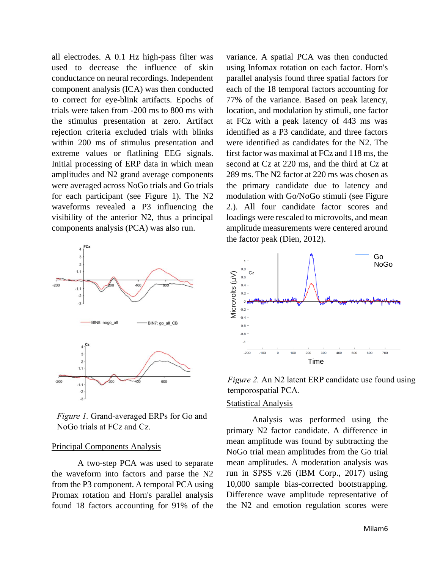all electrodes. A 0.1 Hz high-pass filter was used to decrease the influence of skin conductance on neural recordings. Independent component analysis (ICA) was then conducted to correct for eye-blink artifacts. Epochs of trials were taken from -200 ms to 800 ms with the stimulus presentation at zero. Artifact rejection criteria excluded trials with blinks within 200 ms of stimulus presentation and extreme values or flatlining EEG signals. Initial processing of ERP data in which mean amplitudes and N2 grand average components were averaged across NoGo trials and Go trials for each participant (see Figure 1). The N2 waveforms revealed a P3 influencing the visibility of the anterior N2, thus a principal components analysis (PCA) was also run.



*Figure 1.* Grand-averaged ERPs for Go and NoGo trials at FCz and Cz.

#### Principal Components Analysis

A two-step PCA was used to separate the waveform into factors and parse the N2 from the P3 component. A temporal PCA using Promax rotation and Horn's parallel analysis found 18 factors accounting for 91% of the variance. A spatial PCA was then conducted using Infomax rotation on each factor. Horn's parallel analysis found three spatial factors for each of the 18 temporal factors accounting for 77% of the variance. Based on peak latency, location, and modulation by stimuli, one factor at FCz with a peak latency of 443 ms was identified as a P3 candidate, and three factors were identified as candidates for the N2. The first factor was maximal at FCz and 118 ms, the second at Cz at 220 ms, and the third at Cz at 289 ms. The N2 factor at 220 ms was chosen as the primary candidate due to latency and modulation with Go/NoGo stimuli (see Figure 2.). All four candidate factor scores and loadings were rescaled to microvolts, and mean amplitude measurements were centered around the factor peak (Dien, 2012).



*Figure 2.* An N2 latent ERP candidate use found using temporospatial PCA.

#### Statistical Analysis

Analysis was performed using the primary N2 factor candidate. A difference in mean amplitude was found by subtracting the NoGo trial mean amplitudes from the Go trial mean amplitudes. A moderation analysis was run in SPSS v.26 (IBM Corp., 2017) using 10,000 sample bias-corrected bootstrapping. Difference wave amplitude representative of the N2 and emotion regulation scores were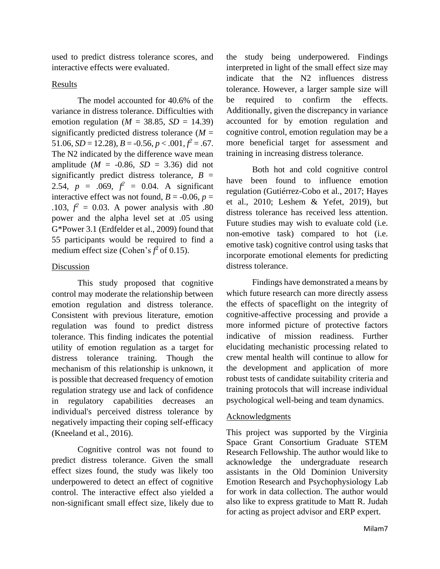used to predict distress tolerance scores, and interactive effects were evaluated.

### Results

The model accounted for 40.6% of the variance in distress tolerance. Difficulties with emotion regulation ( $M = 38.85$ ,  $SD = 14.39$ ) significantly predicted distress tolerance  $(M =$ 51.06,  $SD = 12.28$ ,  $B = -0.56$ ,  $p < .001$ ,  $f^2 = .67$ . The N2 indicated by the difference wave mean amplitude ( $M = -0.86$ ,  $SD = 3.36$ ) did not significantly predict distress tolerance,  $B =$ 2.54,  $p = .069$ ,  $f^2 = 0.04$ . A significant interactive effect was not found,  $B = -0.06$ ,  $p =$ .103,  $f^2 = 0.03$ . A power analysis with .80 power and the alpha level set at .05 using G\*Power 3.1 (Erdfelder et al., 2009) found that 55 participants would be required to find a medium effect size (Cohen's  $f^2$  of 0.15).

### Discussion

This study proposed that cognitive control may moderate the relationship between emotion regulation and distress tolerance. Consistent with previous literature, emotion regulation was found to predict distress tolerance. This finding indicates the potential utility of emotion regulation as a target for distress tolerance training. Though the mechanism of this relationship is unknown, it is possible that decreased frequency of emotion regulation strategy use and lack of confidence in regulatory capabilities decreases an individual's perceived distress tolerance by negatively impacting their coping self-efficacy (Kneeland et al., 2016).

Cognitive control was not found to predict distress tolerance. Given the small effect sizes found, the study was likely too underpowered to detect an effect of cognitive control. The interactive effect also yielded a non-significant small effect size, likely due to

the study being underpowered. Findings interpreted in light of the small effect size may indicate that the N2 influences distress tolerance. However, a larger sample size will be required to confirm the effects. Additionally, given the discrepancy in variance accounted for by emotion regulation and cognitive control, emotion regulation may be a more beneficial target for assessment and training in increasing distress tolerance.

Both hot and cold cognitive control have been found to influence emotion regulation (Gutiérrez-Cobo et al., 2017; Hayes et al., 2010; Leshem & Yefet, 2019), but distress tolerance has received less attention. Future studies may wish to evaluate cold (i.e. non-emotive task) compared to hot (i.e. emotive task) cognitive control using tasks that incorporate emotional elements for predicting distress tolerance.

Findings have demonstrated a means by which future research can more directly assess the effects of spaceflight on the integrity of cognitive-affective processing and provide a more informed picture of protective factors indicative of mission readiness. Further elucidating mechanistic processing related to crew mental health will continue to allow for the development and application of more robust tests of candidate suitability criteria and training protocols that will increase individual psychological well-being and team dynamics.

#### Acknowledgments

This project was supported by the Virginia Space Grant Consortium Graduate STEM Research Fellowship. The author would like to acknowledge the undergraduate research assistants in the Old Dominion University Emotion Research and Psychophysiology Lab for work in data collection. The author would also like to express gratitude to Matt R. Judah for acting as project advisor and ERP expert.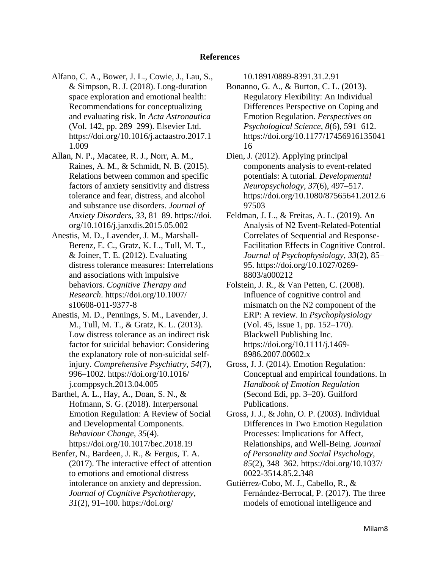#### **References**

- Alfano, C. A., Bower, J. L., Cowie, J., Lau, S., & Simpson, R. J. (2018). Long-duration space exploration and emotional health: Recommendations for conceptualizing and evaluating risk. In *Acta Astronautica* (Vol. 142, pp. 289–299). Elsevier Ltd. https://doi.org/10.1016/j.actaastro.2017.1 1.009
- Allan, N. P., Macatee, R. J., Norr, A. M., Raines, A. M., & Schmidt, N. B. (2015). Relations between common and specific factors of anxiety sensitivity and distress tolerance and fear, distress, and alcohol and substance use disorders. *Journal of Anxiety Disorders*, *33*, 81–89. https://doi. org/10.1016/j.janxdis.2015.05.002
- Anestis, M. D., Lavender, J. M., Marshall-Berenz, E. C., Gratz, K. L., Tull, M. T., & Joiner, T. E. (2012). Evaluating distress tolerance measures: Interrelations and associations with impulsive behaviors. *Cognitive Therapy and Research*. https://doi.org/10.1007/ s10608-011-9377-8
- Anestis, M. D., Pennings, S. M., Lavender, J. M., Tull, M. T., & Gratz, K. L. (2013). Low distress tolerance as an indirect risk factor for suicidal behavior: Considering the explanatory role of non-suicidal selfinjury. *Comprehensive Psychiatry*, *54*(7), 996–1002. https://doi.org/10.1016/ j.comppsych.2013.04.005
- Barthel, A. L., Hay, A., Doan, S. N., & Hofmann, S. G. (2018). Interpersonal Emotion Regulation: A Review of Social and Developmental Components. *Behaviour Change*, *35*(4). https://doi.org/10.1017/bec.2018.19
- Benfer, N., Bardeen, J. R., & Fergus, T. A. (2017). The interactive effect of attention to emotions and emotional distress intolerance on anxiety and depression. *Journal of Cognitive Psychotherapy*, *31*(2), 91–100. https://doi.org/

10.1891/0889-8391.31.2.91

- Bonanno, G. A., & Burton, C. L. (2013). Regulatory Flexibility: An Individual Differences Perspective on Coping and Emotion Regulation. *Perspectives on Psychological Science*, *8*(6), 591–612. https://doi.org/10.1177/17456916135041 16
- Dien, J. (2012). Applying principal components analysis to event-related potentials: A tutorial. *Developmental Neuropsychology*, *37*(6), 497–517. https://doi.org/10.1080/87565641.2012.6 97503
- Feldman, J. L., & Freitas, A. L. (2019). An Analysis of N2 Event-Related-Potential Correlates of Sequential and Response-Facilitation Effects in Cognitive Control. *Journal of Psychophysiology*, *33*(2), 85– 95. https://doi.org/10.1027/0269- 8803/a000212
- Folstein, J. R., & Van Petten, C. (2008). Influence of cognitive control and mismatch on the N2 component of the ERP: A review. In *Psychophysiology* (Vol. 45, Issue 1, pp. 152–170). Blackwell Publishing Inc. https://doi.org/10.1111/j.1469- 8986.2007.00602.x
- Gross, J. J. (2014). Emotion Regulation: Conceptual and empirical foundations. In *Handbook of Emotion Regulation* (Second Edi, pp. 3–20). Guilford Publications.
- Gross, J. J., & John, O. P. (2003). Individual Differences in Two Emotion Regulation Processes: Implications for Affect, Relationships, and Well-Being. *Journal of Personality and Social Psychology*, *85*(2), 348–362. https://doi.org/10.1037/ 0022-3514.85.2.348
- Gutiérrez-Cobo, M. J., Cabello, R., & Fernández-Berrocal, P. (2017). The three models of emotional intelligence and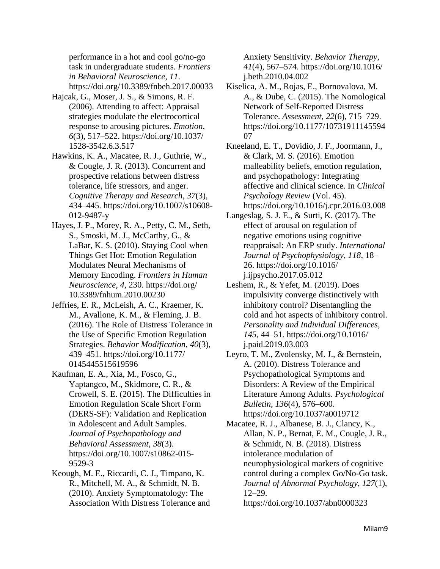performance in a hot and cool go/no-go task in undergraduate students. *Frontiers in Behavioral Neuroscience*, *11*. https://doi.org/10.3389/fnbeh.2017.00033

- Hajcak, G., Moser, J. S., & Simons, R. F. (2006). Attending to affect: Appraisal strategies modulate the electrocortical response to arousing pictures. *Emotion*, *6*(3), 517–522. https://doi.org/10.1037/ 1528-3542.6.3.517
- Hawkins, K. A., Macatee, R. J., Guthrie, W., & Cougle, J. R. (2013). Concurrent and prospective relations between distress tolerance, life stressors, and anger. *Cognitive Therapy and Research*, *37*(3), 434–445. https://doi.org/10.1007/s10608- 012-9487-y
- Hayes, J. P., Morey, R. A., Petty, C. M., Seth, S., Smoski, M. J., McCarthy, G., & LaBar, K. S. (2010). Staying Cool when Things Get Hot: Emotion Regulation Modulates Neural Mechanisms of Memory Encoding. *Frontiers in Human Neuroscience*, *4*, 230. https://doi.org/ 10.3389/fnhum.2010.00230
- Jeffries, E. R., McLeish, A. C., Kraemer, K. M., Avallone, K. M., & Fleming, J. B. (2016). The Role of Distress Tolerance in the Use of Specific Emotion Regulation Strategies. *Behavior Modification*, *40*(3), 439–451. https://doi.org/10.1177/ 0145445515619596
- Kaufman, E. A., Xia, M., Fosco, G., Yaptangco, M., Skidmore, C. R., & Crowell, S. E. (2015). The Difficulties in Emotion Regulation Scale Short Form (DERS-SF): Validation and Replication in Adolescent and Adult Samples. *Journal of Psychopathology and Behavioral Assessment*, *38*(3). https://doi.org/10.1007/s10862-015- 9529-3
- Keough, M. E., Riccardi, C. J., Timpano, K. R., Mitchell, M. A., & Schmidt, N. B. (2010). Anxiety Symptomatology: The Association With Distress Tolerance and

Anxiety Sensitivity. *Behavior Therapy*, *41*(4), 567–574. https://doi.org/10.1016/ j.beth.2010.04.002

- Kiselica, A. M., Rojas, E., Bornovalova, M. A., & Dube, C. (2015). The Nomological Network of Self-Reported Distress Tolerance. *Assessment*, *22*(6), 715–729. https://doi.org/10.1177/10731911145594 07
- Kneeland, E. T., Dovidio, J. F., Joormann, J., & Clark, M. S. (2016). Emotion malleability beliefs, emotion regulation, and psychopathology: Integrating affective and clinical science. In *Clinical Psychology Review* (Vol. 45). https://doi.org/10.1016/j.cpr.2016.03.008
- Langeslag, S. J. E., & Surti, K. (2017). The effect of arousal on regulation of negative emotions using cognitive reappraisal: An ERP study. *International Journal of Psychophysiology*, *118*, 18– 26. https://doi.org/10.1016/ j.ijpsycho.2017.05.012
- Leshem, R., & Yefet, M. (2019). Does impulsivity converge distinctively with inhibitory control? Disentangling the cold and hot aspects of inhibitory control. *Personality and Individual Differences*, *145*, 44–51. https://doi.org/10.1016/ j.paid.2019.03.003
- Leyro, T. M., Zvolensky, M. J., & Bernstein, A. (2010). Distress Tolerance and Psychopathological Symptoms and Disorders: A Review of the Empirical Literature Among Adults. *Psychological Bulletin*, *136*(4), 576–600. https://doi.org/10.1037/a0019712
- Macatee, R. J., Albanese, B. J., Clancy, K., Allan, N. P., Bernat, E. M., Cougle, J. R., & Schmidt, N. B. (2018). Distress intolerance modulation of neurophysiological markers of cognitive control during a complex Go/No-Go task. *Journal of Abnormal Psychology*, *127*(1), 12–29.

https://doi.org/10.1037/abn0000323